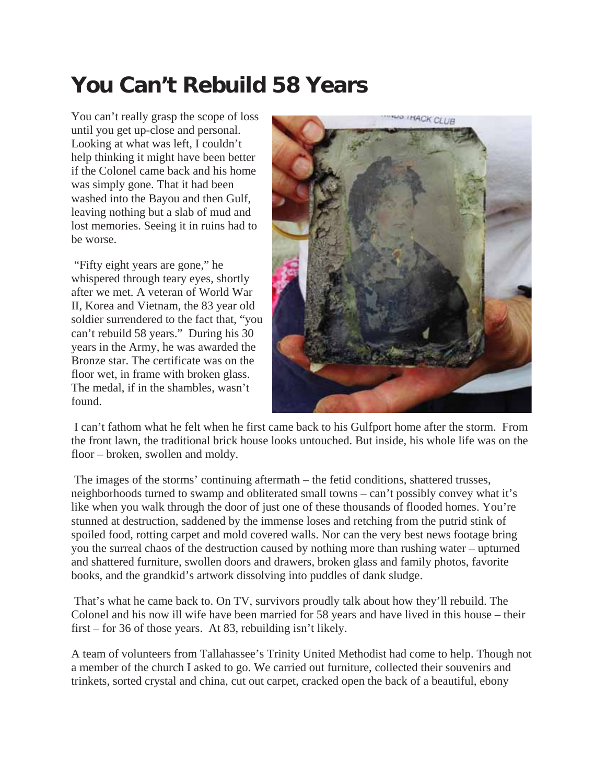## **You Can't Rebuild 58 Years**

You can't really grasp the scope of loss until you get up-close and personal. Looking at what was left, I couldn't help thinking it might have been better if the Colonel came back and his home was simply gone. That it had been washed into the Bayou and then Gulf, leaving nothing but a slab of mud and lost memories. Seeing it in ruins had to be worse.

 "Fifty eight years are gone," he whispered through teary eyes, shortly after we met. A veteran of World War II, Korea and Vietnam, the 83 year old soldier surrendered to the fact that, "you can't rebuild 58 years." During his 30 years in the Army, he was awarded the Bronze star. The certificate was on the floor wet, in frame with broken glass. The medal, if in the shambles, wasn't found.



 I can't fathom what he felt when he first came back to his Gulfport home after the storm. From the front lawn, the traditional brick house looks untouched. But inside, his whole life was on the floor – broken, swollen and moldy.

 The images of the storms' continuing aftermath – the fetid conditions, shattered trusses, neighborhoods turned to swamp and obliterated small towns – can't possibly convey what it's like when you walk through the door of just one of these thousands of flooded homes. You're stunned at destruction, saddened by the immense loses and retching from the putrid stink of spoiled food, rotting carpet and mold covered walls. Nor can the very best news footage bring you the surreal chaos of the destruction caused by nothing more than rushing water – upturned and shattered furniture, swollen doors and drawers, broken glass and family photos, favorite books, and the grandkid's artwork dissolving into puddles of dank sludge.

 That's what he came back to. On TV, survivors proudly talk about how they'll rebuild. The Colonel and his now ill wife have been married for 58 years and have lived in this house – their first – for 36 of those years. At 83, rebuilding isn't likely.

A team of volunteers from Tallahassee's Trinity United Methodist had come to help. Though not a member of the church I asked to go. We carried out furniture, collected their souvenirs and trinkets, sorted crystal and china, cut out carpet, cracked open the back of a beautiful, ebony